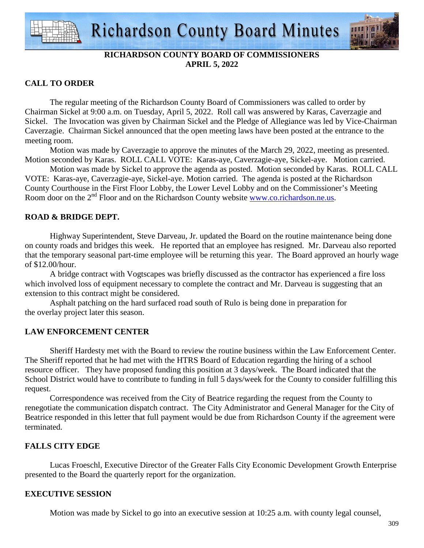



# **RICHARDSON COUNTY BOARD OF COMMISSIONERS APRIL 5, 2022**

## **CALL TO ORDER**

 The regular meeting of the Richardson County Board of Commissioners was called to order by Chairman Sickel at 9:00 a.m. on Tuesday, April 5, 2022. Roll call was answered by Karas, Caverzagie and Sickel. The Invocation was given by Chairman Sickel and the Pledge of Allegiance was led by Vice-Chairman Caverzagie. Chairman Sickel announced that the open meeting laws have been posted at the entrance to the meeting room.

 Motion was made by Caverzagie to approve the minutes of the March 29, 2022, meeting as presented. Motion seconded by Karas. ROLL CALL VOTE: Karas-aye, Caverzagie-aye, Sickel-aye. Motion carried.

 Motion was made by Sickel to approve the agenda as posted. Motion seconded by Karas. ROLL CALL VOTE: Karas-aye, Caverzagie-aye, Sickel-aye. Motion carried. The agenda is posted at the Richardson County Courthouse in the First Floor Lobby, the Lower Level Lobby and on the Commissioner's Meeting Room door on the 2<sup>nd</sup> Floor and on the Richardson County website www.co.richardson.ne.us.

## **ROAD & BRIDGE DEPT.**

Highway Superintendent, Steve Darveau, Jr. updated the Board on the routine maintenance being done on county roads and bridges this week. He reported that an employee has resigned. Mr. Darveau also reported that the temporary seasonal part-time employee will be returning this year. The Board approved an hourly wage of \$12.00/hour.

A bridge contract with Vogtscapes was briefly discussed as the contractor has experienced a fire loss which involved loss of equipment necessary to complete the contract and Mr. Darveau is suggesting that an extension to this contract might be considered.

Asphalt patching on the hard surfaced road south of Rulo is being done in preparation for the overlay project later this season.

# **LAW ENFORCEMENT CENTER**

 Sheriff Hardesty met with the Board to review the routine business within the Law Enforcement Center. The Sheriff reported that he had met with the HTRS Board of Education regarding the hiring of a school resource officer. They have proposed funding this position at 3 days/week. The Board indicated that the School District would have to contribute to funding in full 5 days/week for the County to consider fulfilling this request.

 Correspondence was received from the City of Beatrice regarding the request from the County to renegotiate the communication dispatch contract. The City Administrator and General Manager for the City of Beatrice responded in this letter that full payment would be due from Richardson County if the agreement were terminated.

## **FALLS CITY EDGE**

Lucas Froeschl, Executive Director of the Greater Falls City Economic Development Growth Enterprise presented to the Board the quarterly report for the organization.

## **EXECUTIVE SESSION**

Motion was made by Sickel to go into an executive session at 10:25 a.m. with county legal counsel,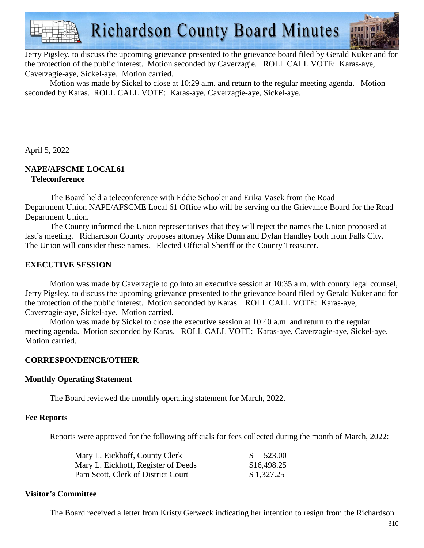

Jerry Pigsley, to discuss the upcoming grievance presented to the grievance board filed by Gerald Kuker and for the protection of the public interest. Motion seconded by Caverzagie. ROLL CALL VOTE: Karas-aye, Caverzagie-aye, Sickel-aye. Motion carried.

Motion was made by Sickel to close at 10:29 a.m. and return to the regular meeting agenda. Motion seconded by Karas. ROLL CALL VOTE: Karas-aye, Caverzagie-aye, Sickel-aye.

April 5, 2022

#### **NAPE/AFSCME LOCAL61 Teleconference**

 The Board held a teleconference with Eddie Schooler and Erika Vasek from the Road Department Union NAPE/AFSCME Local 61 Office who will be serving on the Grievance Board for the Road Department Union.

 The County informed the Union representatives that they will reject the names the Union proposed at last's meeting. Richardson County proposes attorney Mike Dunn and Dylan Handley both from Falls City. The Union will consider these names. Elected Official Sheriff or the County Treasurer.

## **EXECUTIVE SESSION**

 Motion was made by Caverzagie to go into an executive session at 10:35 a.m. with county legal counsel, Jerry Pigsley, to discuss the upcoming grievance presented to the grievance board filed by Gerald Kuker and for the protection of the public interest. Motion seconded by Karas. ROLL CALL VOTE: Karas-aye, Caverzagie-aye, Sickel-aye. Motion carried.

 Motion was made by Sickel to close the executive session at 10:40 a.m. and return to the regular meeting agenda. Motion seconded by Karas. ROLL CALL VOTE: Karas-aye, Caverzagie-aye, Sickel-aye. Motion carried.

## **CORRESPONDENCE/OTHER**

## **Monthly Operating Statement**

The Board reviewed the monthly operating statement for March, 2022.

#### **Fee Reports**

Reports were approved for the following officials for fees collected during the month of March, 2022:

| Mary L. Eickhoff, County Clerk      | 523.00      |
|-------------------------------------|-------------|
| Mary L. Eickhoff, Register of Deeds | \$16,498.25 |
| Pam Scott, Clerk of District Court  | \$1,327.25  |

#### **Visitor's Committee**

The Board received a letter from Kristy Gerweck indicating her intention to resign from the Richardson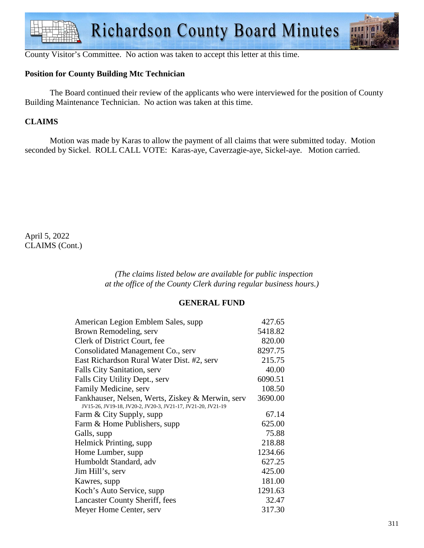

County Visitor's Committee. No action was taken to accept this letter at this time.

## **Position for County Building Mtc Technician**

 The Board continued their review of the applicants who were interviewed for the position of County Building Maintenance Technician. No action was taken at this time.

# **CLAIMS**

Motion was made by Karas to allow the payment of all claims that were submitted today. Motion seconded by Sickel. ROLL CALL VOTE: Karas-aye, Caverzagie-aye, Sickel-aye. Motion carried.

April 5, 2022 CLAIMS (Cont.)

> *(The claims listed below are available for public inspection at the office of the County Clerk during regular business hours.)*

#### **GENERAL FUND**

| American Legion Emblem Sales, supp.                                                                             | 427.65  |
|-----------------------------------------------------------------------------------------------------------------|---------|
| Brown Remodeling, serv                                                                                          | 5418.82 |
| Clerk of District Court, fee                                                                                    | 820.00  |
| Consolidated Management Co., serv                                                                               | 8297.75 |
| East Richardson Rural Water Dist. #2, serv                                                                      | 215.75  |
| Falls City Sanitation, serv                                                                                     | 40.00   |
| Falls City Utility Dept., serv                                                                                  | 6090.51 |
| Family Medicine, serv                                                                                           | 108.50  |
| Fankhauser, Nelsen, Werts, Ziskey & Merwin, serv<br>JV15-26, JV19-18, JV20-2, JV20-3, JV21-17, JV21-20, JV21-19 | 3690.00 |
| Farm & City Supply, supp                                                                                        | 67.14   |
| Farm & Home Publishers, supp                                                                                    | 625.00  |
| Galls, supp                                                                                                     | 75.88   |
| Helmick Printing, supp.                                                                                         | 218.88  |
| Home Lumber, supp.                                                                                              | 1234.66 |
| Humboldt Standard, adv                                                                                          | 627.25  |
| Jim Hill's, serv                                                                                                | 425.00  |
| Kawres, supp                                                                                                    | 181.00  |
| Koch's Auto Service, supp                                                                                       | 1291.63 |
| Lancaster County Sheriff, fees                                                                                  | 32.47   |
| Meyer Home Center, serv                                                                                         | 317.30  |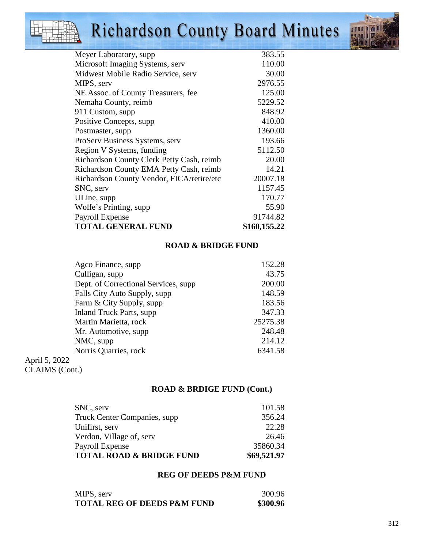# Richardson County Board Minutes



| Meyer Laboratory, supp                    | 383.55       |
|-------------------------------------------|--------------|
| Microsoft Imaging Systems, serv           | 110.00       |
| Midwest Mobile Radio Service, serv        | 30.00        |
| MIPS, serv                                | 2976.55      |
| NE Assoc. of County Treasurers, fee       | 125.00       |
| Nemaha County, reimb                      | 5229.52      |
| 911 Custom, supp                          | 848.92       |
| Positive Concepts, supp.                  | 410.00       |
| Postmaster, supp.                         | 1360.00      |
| ProServ Business Systems, serv            | 193.66       |
| Region V Systems, funding                 | 5112.50      |
| Richardson County Clerk Petty Cash, reimb | 20.00        |
| Richardson County EMA Petty Cash, reimb   | 14.21        |
| Richardson County Vendor, FICA/retire/etc | 20007.18     |
| SNC, serv                                 | 1157.45      |
| ULine, supp                               | 170.77       |
| Wolfe's Printing, supp                    | 55.90        |
| Payroll Expense                           | 91744.82     |
| <b>TOTAL GENERAL FUND</b>                 | \$160,155.22 |
|                                           |              |

# **ROAD & BRIDGE FUND**

|               | Agco Finance, supp                   | 152.28   |
|---------------|--------------------------------------|----------|
|               | Culligan, supp                       | 43.75    |
|               | Dept. of Correctional Services, supp | 200.00   |
|               | Falls City Auto Supply, supp         | 148.59   |
|               | Farm & City Supply, supp             | 183.56   |
|               | <b>Inland Truck Parts, supp</b>      | 347.33   |
|               | Martin Marietta, rock                | 25275.38 |
|               | Mr. Automotive, supp.                | 248.48   |
|               | NMC, supp                            | 214.12   |
|               | Norris Quarries, rock                | 6341.58  |
| April 5, 2022 |                                      |          |
|               |                                      |          |

April 5, 2022 CLAIMS (Cont.)

# **ROAD & BRDIGE FUND (Cont.)**

| SNC, serv                           | 101.58      |
|-------------------------------------|-------------|
| Truck Center Companies, supp.       | 356.24      |
| Unifirst, serv                      | 22.28       |
| Verdon, Village of, serv            | 26.46       |
| Payroll Expense                     | 35860.34    |
| <b>TOTAL ROAD &amp; BRIDGE FUND</b> | \$69,521.97 |

## **REG OF DEEDS P&M FUND**

| MIPS, serv                             | 300.96   |
|----------------------------------------|----------|
| <b>TOTAL REG OF DEEDS P&amp;M FUND</b> | \$300.96 |